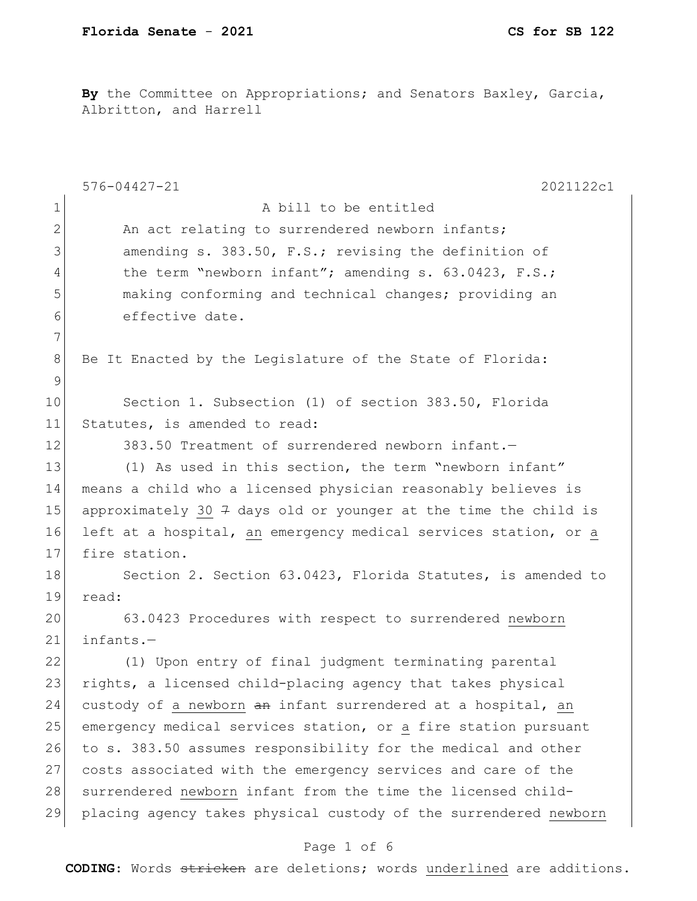**By** the Committee on Appropriations; and Senators Baxley, Garcia, Albritton, and Harrell

|                 | $576 - 04427 - 21$<br>2021122c1                                   |
|-----------------|-------------------------------------------------------------------|
| $\mathbf 1$     | A bill to be entitled                                             |
| $\mathbf{2}$    | An act relating to surrendered newborn infants;                   |
| 3               | amending s. 383.50, F.S.; revising the definition of              |
| 4               | the term "newborn infant"; amending s. 63.0423, F.S.;             |
| 5               | making conforming and technical changes; providing an             |
| 6               | effective date.                                                   |
| 7               |                                                                   |
| 8               | Be It Enacted by the Legislature of the State of Florida:         |
| $\mathcal{G}$   |                                                                   |
| 10 <sub>o</sub> | Section 1. Subsection (1) of section 383.50, Florida              |
| 11              | Statutes, is amended to read:                                     |
| 12              | 383.50 Treatment of surrendered newborn infant.-                  |
| 13              | (1) As used in this section, the term "newborn infant"            |
| 14              | means a child who a licensed physician reasonably believes is     |
| 15              | approximately 30 $7$ days old or younger at the time the child is |
| 16              | left at a hospital, an emergency medical services station, or a   |
| 17              | fire station.                                                     |
| 18              | Section 2. Section 63.0423, Florida Statutes, is amended to       |
| 19              | read:                                                             |
| 20              | 63.0423 Procedures with respect to surrendered newborn            |
| 21              | infants.-                                                         |
| 22              | (1) Upon entry of final judgment terminating parental             |
| 23              | rights, a licensed child-placing agency that takes physical       |
| 24              | custody of a newborn an infant surrendered at a hospital, an      |
| 25              | emergency medical services station, or a fire station pursuant    |
| 26              | to s. 383.50 assumes responsibility for the medical and other     |
| 27              | costs associated with the emergency services and care of the      |
| 28              | surrendered newborn infant from the time the licensed child-      |
| 29              | placing agency takes physical custody of the surrendered newborn  |

# Page 1 of 6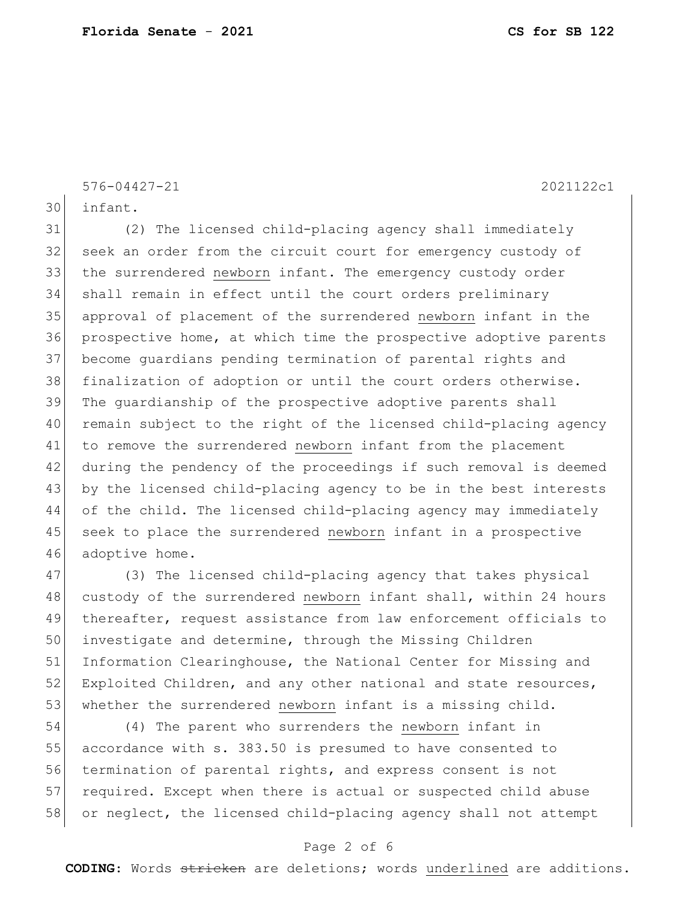576-04427-21 2021122c1

30 infant.

 (2) The licensed child-placing agency shall immediately 32 seek an order from the circuit court for emergency custody of 33 the surrendered newborn infant. The emergency custody order shall remain in effect until the court orders preliminary approval of placement of the surrendered newborn infant in the prospective home, at which time the prospective adoptive parents become guardians pending termination of parental rights and finalization of adoption or until the court orders otherwise. The guardianship of the prospective adoptive parents shall remain subject to the right of the licensed child-placing agency 41 to remove the surrendered newborn infant from the placement during the pendency of the proceedings if such removal is deemed by the licensed child-placing agency to be in the best interests of the child. The licensed child-placing agency may immediately 45 seek to place the surrendered newborn infant in a prospective 46 adoptive home.

47 (3) The licensed child-placing agency that takes physical 48 custody of the surrendered newborn infant shall, within 24 hours 49 thereafter, request assistance from law enforcement officials to 50 investigate and determine, through the Missing Children 51 Information Clearinghouse, the National Center for Missing and  $52$  Exploited Children, and any other national and state resources, 53 whether the surrendered newborn infant is a missing child.

54 (4) The parent who surrenders the newborn infant in 55 accordance with s. 383.50 is presumed to have consented to 56 termination of parental rights, and express consent is not 57 required. Except when there is actual or suspected child abuse 58 or neglect, the licensed child-placing agency shall not attempt

### Page 2 of 6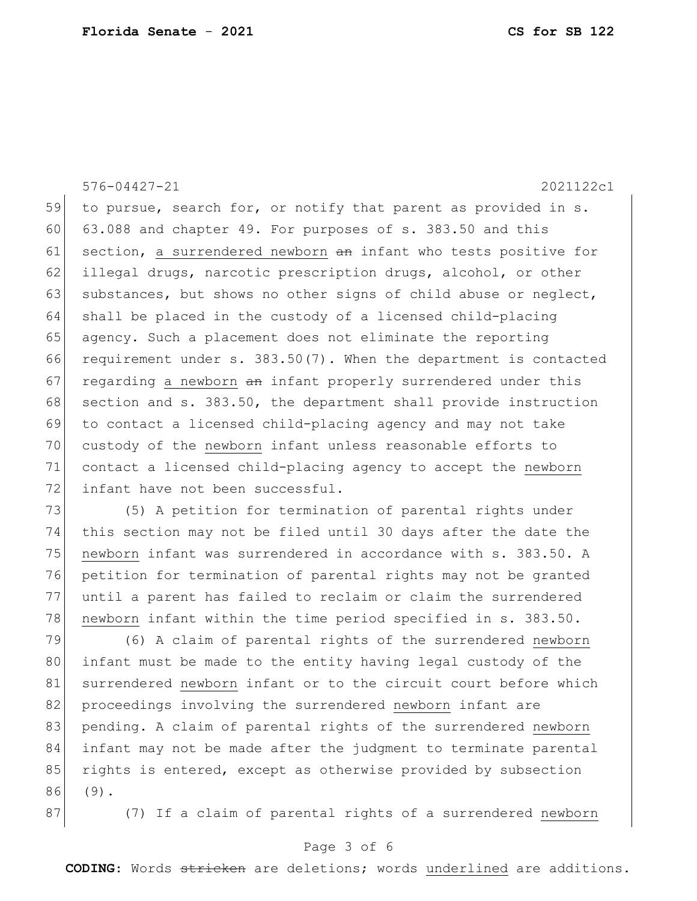576-04427-21 2021122c1

59 to pursue, search for, or notify that parent as provided in s. 60 63.088 and chapter 49. For purposes of s. 383.50 and this 61 section, a surrendered newborn an infant who tests positive for 62 illegal drugs, narcotic prescription drugs, alcohol, or other 63 substances, but shows no other signs of child abuse or neglect, 64 shall be placed in the custody of a licensed child-placing 65 agency. Such a placement does not eliminate the reporting 66 requirement under s. 383.50(7). When the department is contacted 67 regarding a newborn  $an$  infant properly surrendered under this 68 section and s. 383.50, the department shall provide instruction 69 to contact a licensed child-placing agency and may not take 70 custody of the newborn infant unless reasonable efforts to 71 contact a licensed child-placing agency to accept the newborn 72 infant have not been successful.

73 (5) A petition for termination of parental rights under 74 this section may not be filed until 30 days after the date the 75 newborn infant was surrendered in accordance with s. 383.50. A 76 petition for termination of parental rights may not be granted 77 until a parent has failed to reclaim or claim the surrendered 78 newborn infant within the time period specified in s. 383.50.

79 (6) A claim of parental rights of the surrendered newborn 80 infant must be made to the entity having legal custody of the 81 surrendered newborn infant or to the circuit court before which 82 proceedings involving the surrendered newborn infant are 83 pending. A claim of parental rights of the surrendered newborn 84 infant may not be made after the judgment to terminate parental 85 rights is entered, except as otherwise provided by subsection 86 (9).

87 (7) If a claim of parental rights of a surrendered newborn

## Page 3 of 6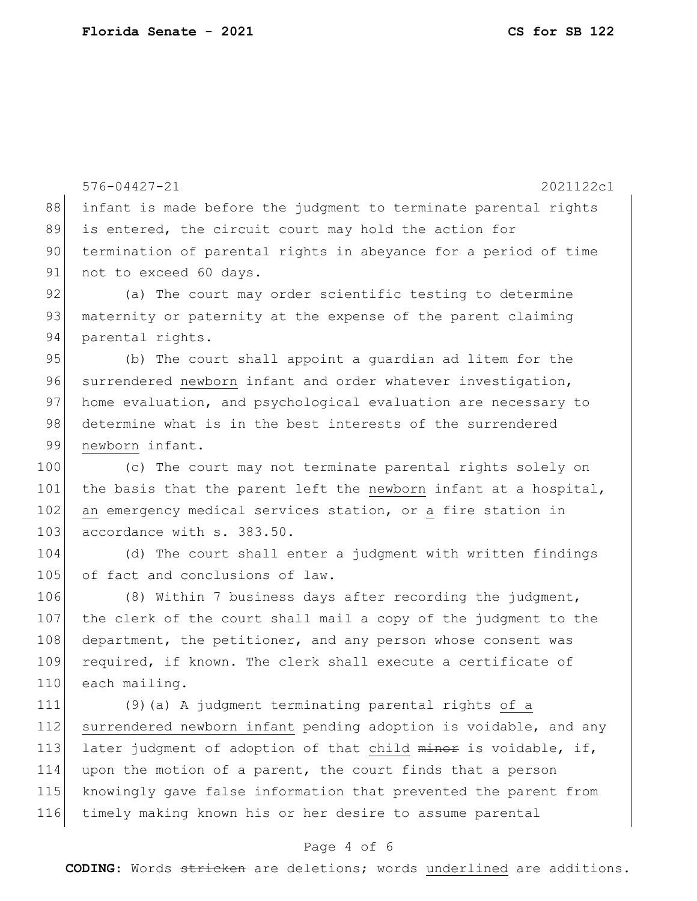576-04427-21 2021122c1 88 infant is made before the judgment to terminate parental rights 89 is entered, the circuit court may hold the action for 90 termination of parental rights in abeyance for a period of time 91 not to exceed 60 days. 92 (a) The court may order scientific testing to determine 93 maternity or paternity at the expense of the parent claiming 94 parental rights. 95 (b) The court shall appoint a quardian ad litem for the 96 surrendered newborn infant and order whatever investigation, 97 home evaluation, and psychological evaluation are necessary to 98 determine what is in the best interests of the surrendered 99 newborn infant. 100 (c) The court may not terminate parental rights solely on 101 the basis that the parent left the newborn infant at a hospital, 102 an emergency medical services station, or a fire station in 103 accordance with s. 383.50. 104 (d) The court shall enter a judgment with written findings 105 of fact and conclusions of law. 106 (8) Within 7 business days after recording the judgment, 107 the clerk of the court shall mail a copy of the judgment to the 108 department, the petitioner, and any person whose consent was 109 required, if known. The clerk shall execute a certificate of 110 each mailing. 111 (9)(a) A judgment terminating parental rights of a 112 surrendered newborn infant pending adoption is voidable, and any 113 later judgment of adoption of that child minor is voidable, if, 114 upon the motion of a parent, the court finds that a person 115 knowingly gave false information that prevented the parent from 116 timely making known his or her desire to assume parental

## Page 4 of 6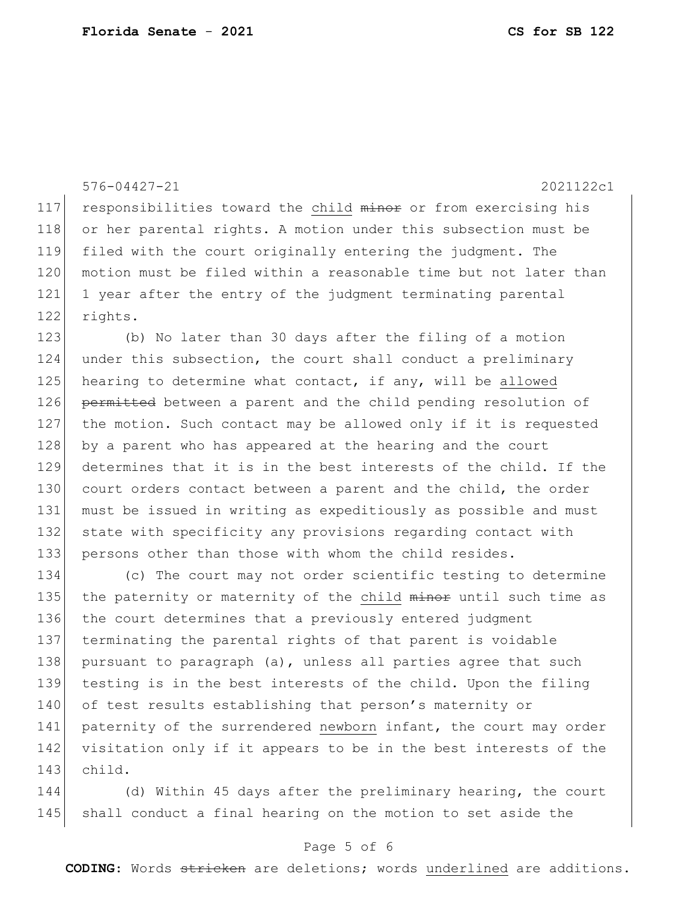576-04427-21 2021122c1 117 responsibilities toward the child minor or from exercising his 118 or her parental rights. A motion under this subsection must be 119 filed with the court originally entering the judgment. The 120 motion must be filed within a reasonable time but not later than 121 1 year after the entry of the judgment terminating parental 122 rights. 123 (b) No later than 30 days after the filing of a motion 124 under this subsection, the court shall conduct a preliminary 125 hearing to determine what contact, if any, will be allowed 126 permitted between a parent and the child pending resolution of 127 the motion. Such contact may be allowed only if it is requested 128 by a parent who has appeared at the hearing and the court 129 determines that it is in the best interests of the child. If the 130 court orders contact between a parent and the child, the order 131 must be issued in writing as expeditiously as possible and must 132 state with specificity any provisions regarding contact with 133 persons other than those with whom the child resides. 134 (c) The court may not order scientific testing to determine 135 the paternity or maternity of the child minor until such time as 136 the court determines that a previously entered judgment 137 terminating the parental rights of that parent is voidable 138 pursuant to paragraph (a), unless all parties agree that such

139 testing is in the best interests of the child. Upon the filing 140 of test results establishing that person's maternity or 141 paternity of the surrendered newborn infant, the court may order 142 visitation only if it appears to be in the best interests of the 143 child.

144 (d) Within 45 days after the preliminary hearing, the court 145 shall conduct a final hearing on the motion to set aside the

## Page 5 of 6